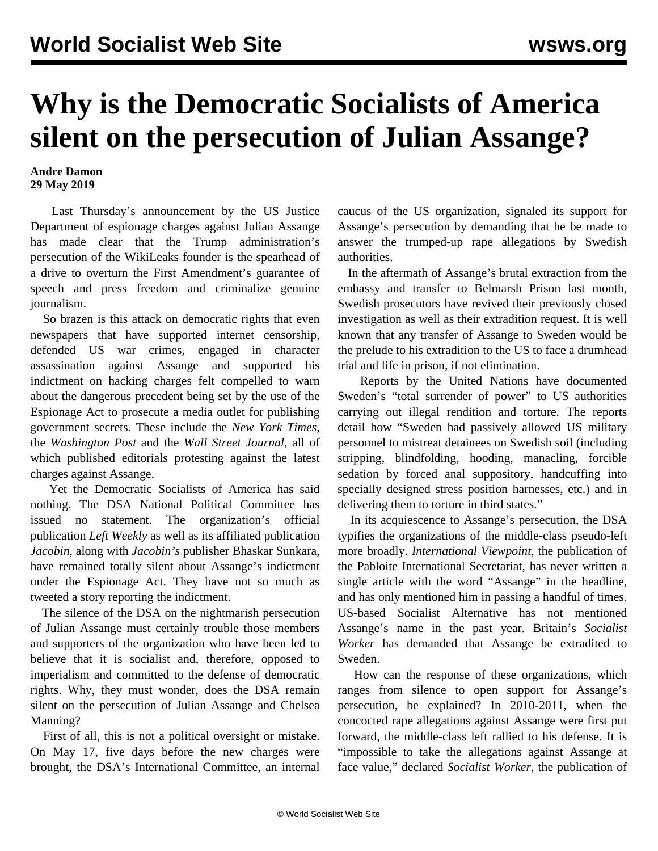## **Why is the Democratic Socialists of America silent on the persecution of Julian Assange?**

## **Andre Damon 29 May 2019**

 Last Thursday's announcement by the US Justice Department of espionage charges against Julian Assange has made clear that the Trump administration's persecution of the WikiLeaks founder is the spearhead of a drive to overturn the First Amendment's guarantee of speech and press freedom and criminalize genuine journalism.

 So brazen is this attack on democratic rights that even newspapers that have supported internet censorship, defended US war crimes, engaged in character assassination against Assange and supported his indictment on hacking charges felt compelled to warn about the dangerous precedent being set by the use of the Espionage Act to prosecute a media outlet for publishing government secrets. These include the *New York Times*, the *Washington Post* and the *Wall Street Journal*, all of which published editorials protesting against the latest charges against Assange.

 Yet the Democratic Socialists of America has said nothing. The DSA National Political Committee has issued no statement. The organization's official publication *Left Weekly* as well as its affiliated publication *Jacobin*, along with *Jacobin's* publisher Bhaskar Sunkara, have remained totally silent about Assange's indictment under the Espionage Act. They have not so much as tweeted a story reporting the indictment.

 The silence of the DSA on the nightmarish persecution of Julian Assange must certainly trouble those members and supporters of the organization who have been led to believe that it is socialist and, therefore, opposed to imperialism and committed to the defense of democratic rights. Why, they must wonder, does the DSA remain silent on the persecution of Julian Assange and Chelsea Manning?

 First of all, this is not a political oversight or mistake. On May 17, five days before the new charges were brought, the DSA's International Committee, an internal

caucus of the US organization, signaled its support for Assange's persecution by demanding that he be made to answer the trumped-up rape allegations by Swedish authorities.

 In the aftermath of Assange's brutal extraction from the embassy and transfer to Belmarsh Prison last month, Swedish prosecutors have revived their previously closed investigation as well as their extradition request. It is well known that any transfer of Assange to Sweden would be the prelude to his extradition to the US to face a drumhead trial and life in prison, if not elimination.

 Reports by the United Nations have documented Sweden's "total surrender of power" to US authorities carrying out illegal rendition and torture. The reports detail how "Sweden had passively allowed US military personnel to mistreat detainees on Swedish soil (including stripping, blindfolding, hooding, manacling, forcible sedation by forced anal suppository, handcuffing into specially designed stress position harnesses, etc.) and in delivering them to torture in third states."

 In its acquiescence to Assange's persecution, the DSA typifies the organizations of the middle-class pseudo-left more broadly. *International Viewpoint*, the publication of the Pabloite International Secretariat, has never written a single article with the word "Assange" in the headline, and has only mentioned him in passing a handful of times. US-based Socialist Alternative has not mentioned Assange's name in the past year. Britain's *Socialist Worker* has demanded that Assange be extradited to Sweden.

 How can the response of these organizations, which ranges from silence to open support for Assange's persecution, be explained? In 2010-2011, when the concocted rape allegations against Assange were first put forward, the middle-class left rallied to his defense. It is "impossible to take the allegations against Assange at face value," declared *Socialist Worker*, the publication of